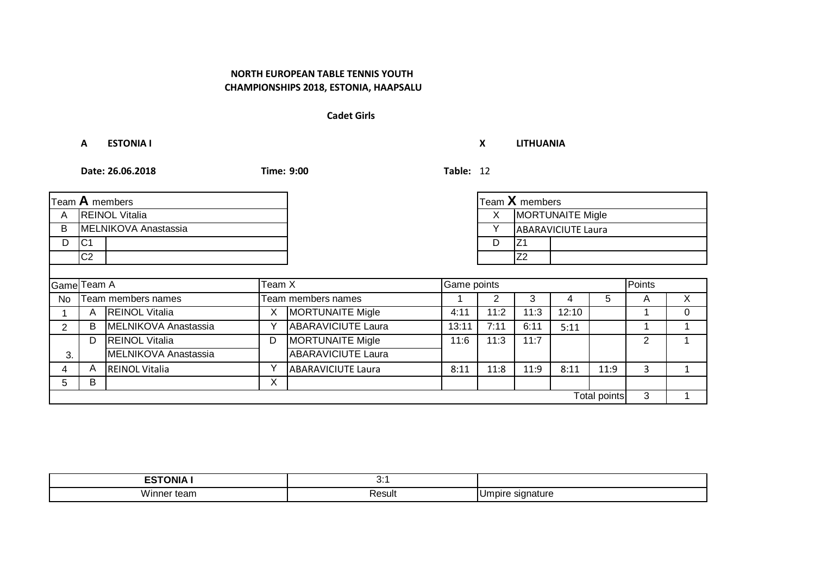#### **Cadet Girls**

**A ESTONIA I X LITHUANIA**

|                       |                | Team A members        |   |                           |       |      | Team $X$ members        |                           |              |        |          |
|-----------------------|----------------|-----------------------|---|---------------------------|-------|------|-------------------------|---------------------------|--------------|--------|----------|
| A                     |                | <b>REINOL Vitalia</b> |   |                           |       | X.   | <b>MORTUNAITE Migle</b> |                           |              |        |          |
| B                     |                | MELNIKOVA Anastassia  |   |                           |       |      |                         | <b>ABARAVICIUTE Laura</b> |              |        |          |
| D                     | C <sub>1</sub> |                       |   |                           |       | D    | IZ <sub>1</sub>         |                           |              |        |          |
|                       | C <sub>2</sub> |                       |   |                           |       |      | Z <sub>2</sub>          |                           |              |        |          |
|                       |                |                       |   |                           |       |      |                         |                           |              |        |          |
| Game Team A<br>Team X |                |                       |   | Game points               |       |      |                         |                           |              | Points |          |
| No                    |                | Team members names    |   | Team members names        |       |      | 3                       | 4                         | 5            | A      | X        |
|                       | A              | <b>REINOL Vitalia</b> | Χ | <b>MORTUNAITE Migle</b>   | 4:11  | 11:2 | 11:3                    | 12:10                     |              |        | $\Omega$ |
| $\overline{2}$        | B              | MELNIKOVA Anastassia  | Υ | <b>ABARAVICIUTE Laura</b> | 13:11 | 7:11 | 6:11                    | 5:11                      |              |        |          |
|                       | D              | <b>REINOL Vitalia</b> | D | <b>MORTUNAITE Migle</b>   | 11:6  | 11:3 | 11:7                    |                           |              | 2      |          |
| 3.                    |                | MELNIKOVA Anastassia  |   | <b>ABARAVICIUTE</b> Laura |       |      |                         |                           |              |        |          |
| 4                     | A              | <b>REINOL Vitalia</b> | Υ | <b>ABARAVICIUTE Laura</b> | 8:11  | 11:8 | 11:9                    | 8:11                      | 11:9         | 3      |          |
| 5                     | B              |                       | X |                           |       |      |                         |                           |              |        |          |
|                       |                |                       |   |                           |       |      |                         |                           | Total points | 3      |          |

| .<br>---<br>INIL<br>—v | .<br>$\mathsf{v}$ . |             |
|------------------------|---------------------|-------------|
| .<br>Winn.<br>iei      | ⊰esult              | .oir<br>. . |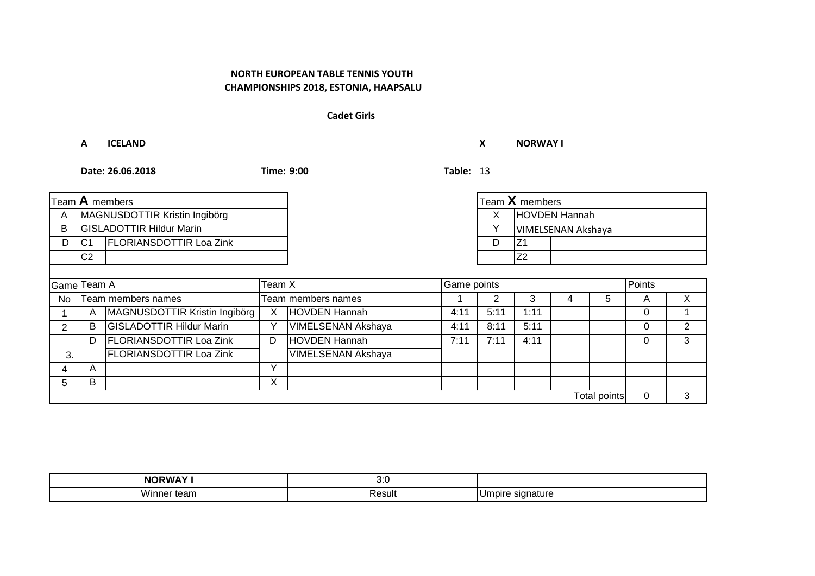#### **Cadet Girls**

**A ICELAND X NORWAY I**

| Team $\bf{A}$ members |                               |                                 |              |                           |      | Team $X$ members |                      |   |              |             |   |
|-----------------------|-------------------------------|---------------------------------|--------------|---------------------------|------|------------------|----------------------|---|--------------|-------------|---|
| A                     | MAGNUSDOTTIR Kristin Ingibörg |                                 |              |                           |      | X                | <b>HOVDEN Hannah</b> |   |              |             |   |
| B                     |                               | <b>GISLADOTTIR Hildur Marin</b> |              |                           |      |                  | VIMELSENAN Akshaya   |   |              |             |   |
| D                     | C <sub>1</sub>                | <b>FLORIANSDOTTIR Loa Zink</b>  |              |                           |      | D                | IZ1                  |   |              |             |   |
|                       | C <sub>2</sub>                |                                 |              |                           |      |                  | Z <sub>2</sub>       |   |              |             |   |
|                       |                               |                                 |              |                           |      |                  |                      |   |              |             |   |
| Game Team A<br>Team X |                               |                                 |              | Game points               |      |                  |                      |   | Points       |             |   |
| <b>No</b>             |                               | Team members names              |              | Team members names        |      |                  | 3                    | 4 | 5            | A           | X |
|                       | A                             | MAGNUSDOTTIR Kristin Ingibörg   | X            | HOVDEN Hannah             | 4:11 | 5:11             | 1:11                 |   |              | $\Omega$    |   |
| $\overline{2}$        | B                             | <b>GISLADOTTIR Hildur Marin</b> | Υ            | <b>VIMELSENAN Akshaya</b> | 4:11 | 8:11             | 5:11                 |   |              | $\Omega$    | 2 |
|                       | D                             | <b>FLORIANSDOTTIR Loa Zink</b>  | D            | HOVDEN Hannah             | 7:11 | 7:11             | 4:11                 |   |              | 0           | 3 |
| 3.                    |                               | FLORIANSDOTTIR Loa Zink         |              | <b>VIMELSENAN Akshaya</b> |      |                  |                      |   |              |             |   |
| 4                     | A                             |                                 | $\checkmark$ |                           |      |                  |                      |   |              |             |   |
| 5.                    | B                             |                                 | X            |                           |      |                  |                      |   |              |             |   |
|                       |                               |                                 |              |                           |      |                  |                      |   | Total points | $\mathbf 0$ | 3 |

| NI<br>٦м.         | ,,,<br>$\mathsf{v}.\mathsf{v}$ |              |
|-------------------|--------------------------------|--------------|
| Winr<br>.501<br>œ | יוµכשר                         | . JIT<br>. . |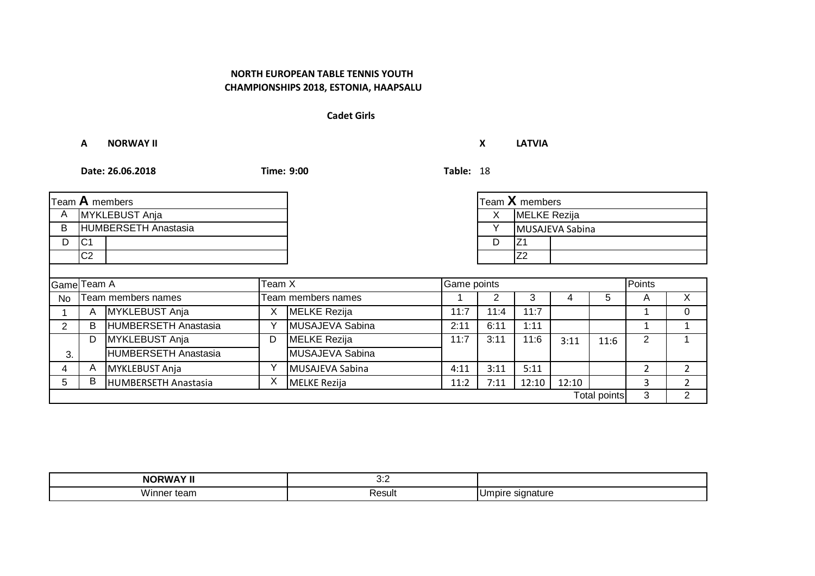#### **Cadet Girls**

**A NORWAY II X LATVIA**

|                       |                | Team $\bf A$ members        |   |                     |      |        | Team X members      |                 |              |                |                |
|-----------------------|----------------|-----------------------------|---|---------------------|------|--------|---------------------|-----------------|--------------|----------------|----------------|
| A                     | MYKLEBUST Anja |                             |   |                     |      | X.     | <b>MELKE</b> Rezija |                 |              |                |                |
| B                     |                | HUMBERSETH Anastasia        |   |                     |      | v      |                     | MUSAJEVA Sabina |              |                |                |
| D                     | C <sub>1</sub> |                             |   |                     |      | D      | IZ <sub>1</sub>     |                 |              |                |                |
|                       | C2             |                             |   |                     |      |        | Z <sub>2</sub>      |                 |              |                |                |
|                       |                |                             |   |                     |      |        |                     |                 |              |                |                |
| Game Team A<br>Team X |                |                             |   | Game points         |      | Points |                     |                 |              |                |                |
| No                    |                | Team members names          |   | Team members names  |      | 2      | 3                   | 4               | 5            | A              | X              |
|                       | A              | MYKLEBUST Anja              | X | <b>MELKE Rezija</b> | 11:7 | 11:4   | 11:7                |                 |              |                | $\mathbf{0}$   |
| $\mathbf{2}^{\circ}$  | B              | HUMBERSETH Anastasia        | Υ | MUSAJEVA Sabina     | 2:11 | 6:11   | 1:11                |                 |              |                |                |
|                       | D              | MYKLEBUST Anja              | D | <b>MELKE</b> Rezija | 11:7 | 3:11   | 11:6                | 3:11            | 11:6         | $\overline{2}$ |                |
| 3.                    |                | <b>HUMBERSETH Anastasia</b> |   | MUSAJEVA Sabina     |      |        |                     |                 |              |                |                |
| 4                     | A              | <b>MYKLEBUST Anja</b>       | Υ | MUSAJEVA Sabina     | 4:11 | 3:11   | 5:11                |                 |              | $\overline{2}$ | $\overline{2}$ |
| 5                     | В              | HUMBERSETH Anastasia        | X | MELKE Rezija        | 11:2 | 7:11   | 12:10               | 12:10           |              | 3              | $\mathcal{P}$  |
|                       |                |                             |   |                     |      |        |                     |                 | Total points | 3              | 2              |

| .<br>NΩ<br>the contract of the contract of the contract of the contract of the contract of the contract of the contract of | .<br>$\cup$ . |             |
|----------------------------------------------------------------------------------------------------------------------------|---------------|-------------|
| <br>Winn.<br>ier                                                                                                           | ⊰esult        | .oir<br>. . |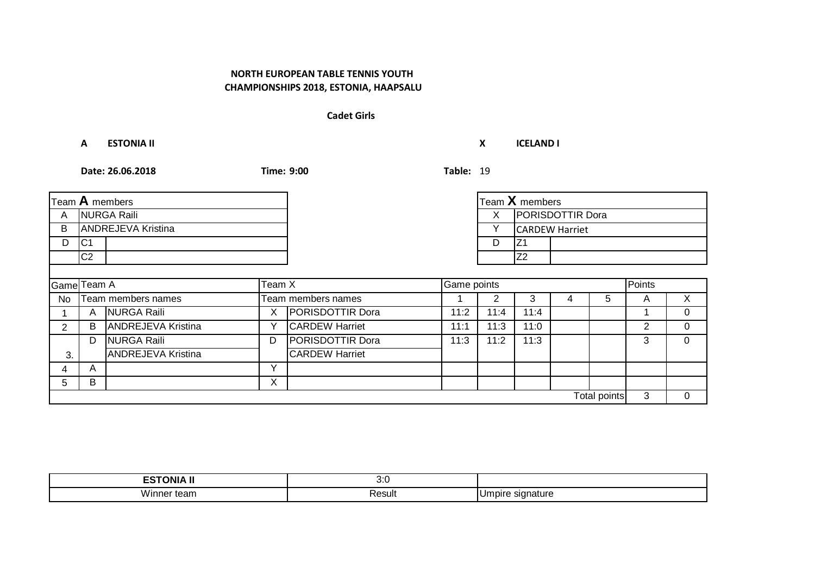#### **Cadet Girls**

**A ESTONIA II X ICELAND I**

|                       |                    | Team $A$ members          |   |                         |      |                        | Team X members        |  |                     |   |          |
|-----------------------|--------------------|---------------------------|---|-------------------------|------|------------------------|-----------------------|--|---------------------|---|----------|
| A                     | <b>NURGA Raili</b> |                           |   |                         |      | PORISDOTTIR Dora<br>X. |                       |  |                     |   |          |
| B                     |                    | <b>ANDREJEVA Kristina</b> |   |                         |      | Υ                      | <b>CARDEW Harriet</b> |  |                     |   |          |
| D                     | IC <sub>1</sub>    |                           |   |                         |      | D                      | IZ1                   |  |                     |   |          |
|                       | C2                 |                           |   |                         |      |                        | Z2                    |  |                     |   |          |
|                       |                    |                           |   |                         |      |                        |                       |  |                     |   |          |
| Team X<br>Game Team A |                    |                           |   | Game points             |      |                        |                       |  | Points              |   |          |
| No                    |                    | Team members names        |   | Team members names      |      |                        | 3                     |  | 5                   | A | X        |
|                       | A                  | NURGA Raili               | X | <b>PORISDOTTIR Dora</b> | 11:2 | 11:4                   | 11:4                  |  |                     |   | $\Omega$ |
| 2                     | B                  | <b>ANDREJEVA Kristina</b> | Υ | <b>CARDEW Harriet</b>   | 11:1 | 11:3                   | 11:0                  |  |                     | 2 | 0        |
|                       | D                  | <b>NURGA Raili</b>        | D | <b>PORISDOTTIR Dora</b> | 11:3 | 11:2                   | 11:3                  |  |                     | 3 | $\Omega$ |
| 3.                    |                    | <b>ANDREJEVA Kristina</b> |   | <b>CARDEW Harriet</b>   |      |                        |                       |  |                     |   |          |
| 4                     | A                  |                           | Υ |                         |      |                        |                       |  |                     |   |          |
| 5.                    | B                  |                           | X |                         |      |                        |                       |  |                     |   |          |
|                       |                    |                           |   |                         |      |                        |                       |  | <b>Total points</b> | 3 | $\Omega$ |

| JNIA        | ,,,<br>$\mathsf{v}.\mathsf{v}$ |                               |
|-------------|--------------------------------|-------------------------------|
| .<br>Winner | रesult                         | าatur<br>וומו<br>п<br>$\cdot$ |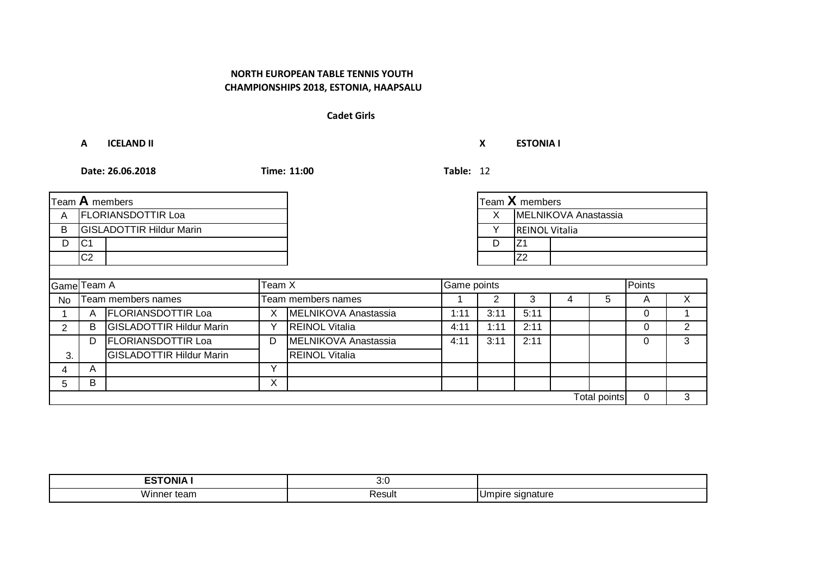#### **Cadet Girls**

**A ICELAND II X ESTONIA I**

|                       |                           | Team A members                  |              |                       |      |      | Team X members        |   |              |          |   |
|-----------------------|---------------------------|---------------------------------|--------------|-----------------------|------|------|-----------------------|---|--------------|----------|---|
| A                     | <b>FLORIANSDOTTIR Loa</b> |                                 |              |                       |      | X    | MELNIKOVA Anastassia  |   |              |          |   |
| B                     |                           | <b>GISLADOTTIR Hildur Marin</b> |              |                       |      | v    | <b>REINOL Vitalia</b> |   |              |          |   |
| D                     | C <sub>1</sub>            |                                 |              |                       |      | D    | IZ <sub>1</sub>       |   |              |          |   |
|                       | C <sub>2</sub>            |                                 |              |                       |      |      | Z <sub>2</sub>        |   |              |          |   |
|                       |                           |                                 |              |                       |      |      |                       |   |              |          |   |
| Team X<br>Game Team A |                           |                                 |              | Game points           |      |      |                       |   |              | Points   |   |
| No                    |                           | Team members names              |              | Team members names    |      |      | 3                     | 4 | 5            | A        | X |
|                       | A                         | <b>FLORIANSDOTTIR Loa</b>       | X            | MELNIKOVA Anastassia  | 1:11 | 3:11 | 5:11                  |   |              | $\Omega$ |   |
| $\overline{2}$        | B                         | <b>GISLADOTTIR Hildur Marin</b> | Υ            | <b>REINOL Vitalia</b> | 4:11 | 1:11 | 2:11                  |   |              | 0        | 2 |
|                       | D                         | <b>FLORIANSDOTTIR Loa</b>       | D            | MELNIKOVA Anastassia  | 4:11 | 3:11 | 2:11                  |   |              | $\Omega$ | 3 |
| 3.                    |                           | <b>GISLADOTTIR Hildur Marin</b> |              | <b>REINOL Vitalia</b> |      |      |                       |   |              |          |   |
| 4                     | A                         |                                 | $\checkmark$ |                       |      |      |                       |   |              |          |   |
| 5                     | В                         |                                 | X            |                       |      |      |                       |   |              |          |   |
|                       |                           |                                 |              |                       |      |      |                       |   | Total points | 0        | 3 |

| -------<br>Δוиר<br>- 3<br>ື້        | ,,,<br>v.v |                      |
|-------------------------------------|------------|----------------------|
| .<br>Winn.<br>iei<br>. .<br>- 701 1 | Result     | ำลtur∈<br>זור<br>. . |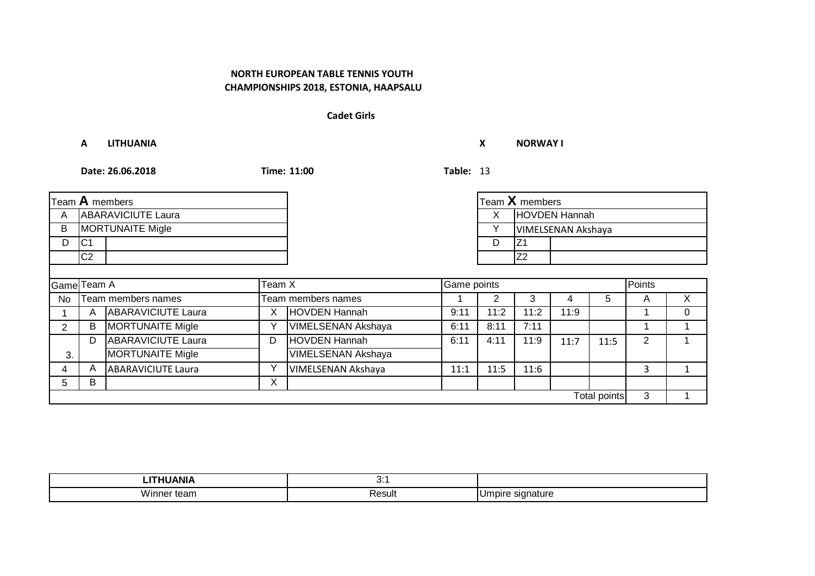#### **Cadet Girls**

**A LITHUANIA X NORWAY I**

|                       |                           | Team A members            |   |                           |      |              | Team $X$ members |                    |              |                |   |
|-----------------------|---------------------------|---------------------------|---|---------------------------|------|--------------|------------------|--------------------|--------------|----------------|---|
| A                     | <b>ABARAVICIUTE Laura</b> |                           |   |                           |      | X            | HOVDEN Hannah    |                    |              |                |   |
| В                     |                           | <b>MORTUNAITE Migle</b>   |   |                           |      | $\checkmark$ |                  | VIMELSENAN Akshaya |              |                |   |
| D                     | C <sub>1</sub>            |                           |   |                           |      | D            | IZ1              |                    |              |                |   |
|                       | C <sub>2</sub>            |                           |   |                           |      |              | Z <sub>2</sub>   |                    |              |                |   |
|                       |                           |                           |   |                           |      |              |                  |                    |              |                |   |
| Game Team A<br>Team X |                           |                           |   | Game points               |      |              |                  |                    | Points       |                |   |
| No                    |                           | Team members names        |   | Team members names        |      | 2            | 3                | 4                  | 5            | A              | X |
|                       | A                         | <b>ABARAVICIUTE Laura</b> | X | HOVDEN Hannah             | 9:11 | 11:2         | 11:2             | 11:9               |              |                | 0 |
| 2                     | B                         | <b>MORTUNAITE Migle</b>   | Υ | <b>VIMELSENAN Akshaya</b> | 6:11 | 8:11         | 7:11             |                    |              |                |   |
|                       | D                         | <b>ABARAVICIUTE Laura</b> | D | <b>HOVDEN Hannah</b>      | 6:11 | 4:11         | 11:9             | 11:7               | 11:5         | $\overline{2}$ |   |
| 3.                    |                           | <b>MORTUNAITE Migle</b>   |   | <b>VIMELSENAN Akshaya</b> |      |              |                  |                    |              |                |   |
| 4                     | A                         | <b>ABARAVICIUTE Laura</b> | Υ | VIMELSENAN Akshaya        | 11:1 | 11:5         | 11:6             |                    |              | 3              |   |
| 5.                    | В                         |                           | X |                           |      |              |                  |                    |              |                |   |
|                       |                           |                           |   |                           |      |              |                  |                    | Total points | 3              |   |

| ---------         | .<br>$\mathbf{v}$ .        |                                      |
|-------------------|----------------------------|--------------------------------------|
| <br>Winne<br>τeam | ≺esult<br>. . <del>.</del> | .<br>יומה<br>siana<br>ıun<br>'nature |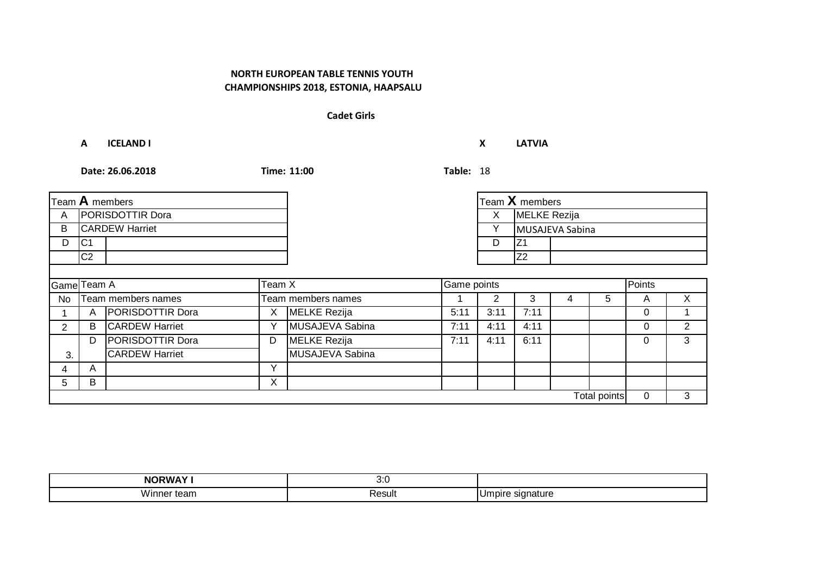#### **Cadet Girls**

**A ICELAND I X LATVIA**

|                       |                  | Team $A$ members        |   |                    |      |        | Team X members  |   |   |   |   |
|-----------------------|------------------|-------------------------|---|--------------------|------|--------|-----------------|---|---|---|---|
| A                     | PORISDOTTIR Dora |                         |   |                    |      | X      | MELKE Rezija    |   |   |   |   |
| B                     |                  | <b>CARDEW Harriet</b>   |   |                    |      |        | MUSAJEVA Sabina |   |   |   |   |
| D                     | C <sub>1</sub>   |                         |   |                    |      | D      | IZ1             |   |   |   |   |
|                       | C2               |                         |   |                    |      |        | Z <sub>2</sub>  |   |   |   |   |
|                       |                  |                         |   |                    |      |        |                 |   |   |   |   |
| Game Team A<br>Team X |                  |                         |   | Game points        |      | Points |                 |   |   |   |   |
| No                    |                  | Team members names      |   | Team members names |      | 2      | 3               | 4 | 5 | A | X |
|                       | A                | PORISDOTTIR Dora        | X | MELKE Rezija       | 5:11 | 3:11   | 7:11            |   |   | 0 |   |
| 2                     | B                | <b>CARDEW Harriet</b>   | Y | MUSAJEVA Sabina    | 7:11 | 4:11   | 4:11            |   |   | 0 | 2 |
|                       | D                | <b>PORISDOTTIR Dora</b> | D | MELKE Rezija       | 7:11 | 4:11   | 6:11            |   |   | 0 | 3 |
| 3.                    |                  | <b>CARDEW Harriet</b>   |   | MUSAJEVA Sabina    |      |        |                 |   |   |   |   |
| 4                     | A                |                         | Υ |                    |      |        |                 |   |   |   |   |
| 5                     | B                |                         | X |                    |      |        |                 |   |   |   |   |
| <b>Total points</b>   |                  |                         |   |                    |      |        |                 | 0 | 3 |   |   |

| <b>NORWAY!</b>     | ,,,<br>$\mathsf{v}.\mathsf{v}$ |                               |
|--------------------|--------------------------------|-------------------------------|
| Wir<br>τean<br>ᇭᇚᇛ | Result<br>.                    | nature<br>חומו<br>יוט.<br>. . |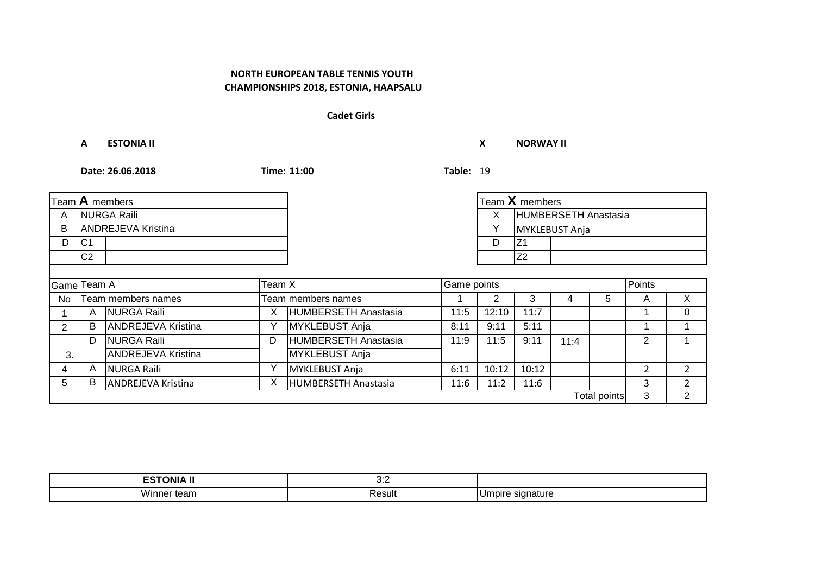#### **Cadet Girls**

**A ESTONIA II X NORWAY II**

|                       |                    | Team $A$ members          |   |                      |      |       | Team $X$ members     |      |              |        |                |
|-----------------------|--------------------|---------------------------|---|----------------------|------|-------|----------------------|------|--------------|--------|----------------|
| A                     | <b>NURGA Raili</b> |                           |   |                      |      | X     | HUMBERSETH Anastasia |      |              |        |                |
| B                     |                    | <b>ANDREJEVA Kristina</b> |   |                      |      | ٧     | MYKLEBUST Anja       |      |              |        |                |
| D                     | C <sub>1</sub>     |                           |   |                      |      | D     | IZ1                  |      |              |        |                |
|                       | C2                 |                           |   |                      |      |       | Z <sub>2</sub>       |      |              |        |                |
|                       |                    |                           |   |                      |      |       |                      |      |              |        |                |
| Game Team A<br>Team X |                    |                           |   | Game points          |      |       |                      |      |              | Points |                |
| No                    |                    | Team members names        |   | Team members names   |      |       | 3                    | 4    | 5            | A      | X              |
|                       | A                  | <b>NURGA Raili</b>        | Х | HUMBERSETH Anastasia | 11:5 | 12:10 | 11:7                 |      |              |        | $\Omega$       |
| 2                     | В                  | <b>ANDREJEVA Kristina</b> | ٧ | MYKLEBUST Anja       | 8:11 | 9:11  | 5:11                 |      |              |        |                |
|                       | D                  | <b>NURGA Raili</b>        | D | HUMBERSETH Anastasia | 11:9 | 11:5  | 9:11                 | 11:4 |              | 2      |                |
| 3.                    |                    | <b>ANDREJEVA Kristina</b> |   | MYKLEBUST Anja       |      |       |                      |      |              |        |                |
| 4                     | A                  | <b>NURGA Raili</b>        | Υ | MYKLEBUST Anja       | 6:11 | 10:12 | 10:12                |      |              | 2      | $\overline{2}$ |
| 5                     | B                  | <b>ANDREJEVA Kristina</b> | Χ | HUMBERSETH Anastasia | 11:6 | 11:2  | 11:6                 |      |              | 3      | າ              |
|                       |                    |                           |   |                      |      |       |                      |      | Total points | 3      | 2              |

| .<br><b>ESTONIA</b>             | $\cup$ .          |                              |
|---------------------------------|-------------------|------------------------------|
| $\sim$ $\sim$<br>vinner<br>τeam | $1 - 1$<br>Result | าature<br>ıdır<br>√JI<br>. . |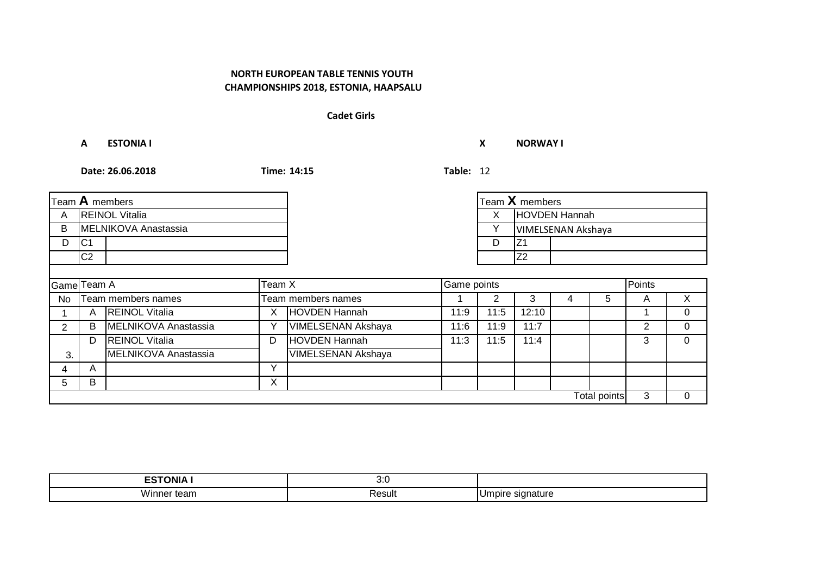#### **Cadet Girls**

**A ESTONIA I X NORWAY I**

|                              |                       | Team $A$ members      |              |                           |      |        | Team $X$ members     |   |              |   |          |
|------------------------------|-----------------------|-----------------------|--------------|---------------------------|------|--------|----------------------|---|--------------|---|----------|
| A                            | <b>REINOL Vitalia</b> |                       |              |                           |      | X.     | <b>HOVDEN Hannah</b> |   |              |   |          |
| B                            |                       | MELNIKOVA Anastassia  |              |                           |      | Y      | VIMELSENAN Akshaya   |   |              |   |          |
| D                            | C <sub>1</sub>        |                       |              |                           |      | D      | Z <sub>1</sub>       |   |              |   |          |
|                              | C <sub>2</sub>        |                       |              |                           |      |        | Z <sub>2</sub>       |   |              |   |          |
|                              |                       |                       |              |                           |      |        |                      |   |              |   |          |
| Team X<br><b>Game</b> Team A |                       |                       |              | Game points               |      | Points |                      |   |              |   |          |
| No                           |                       | Team members names    |              | Team members names        |      |        | 3                    | 4 | 5            | Α | X        |
|                              | A                     | <b>REINOL Vitalia</b> | Χ            | <b>HOVDEN Hannah</b>      | 11:9 | 11:5   | 12:10                |   |              |   | $\Omega$ |
| 2                            | B                     | MELNIKOVA Anastassia  | Υ            | <b>VIMELSENAN Akshaya</b> | 11:6 | 11:9   | 11:7                 |   |              | 2 | $\Omega$ |
|                              | D                     | <b>REINOL Vitalia</b> | D            | HOVDEN Hannah             | 11:3 | 11:5   | 11:4                 |   |              | 3 | $\Omega$ |
| 3.                           |                       | MELNIKOVA Anastassia  |              | <b>VIMELSENAN Akshaya</b> |      |        |                      |   |              |   |          |
| 4                            | A                     |                       | $\checkmark$ |                           |      |        |                      |   |              |   |          |
| 5                            | B                     |                       | X            |                           |      |        |                      |   |              |   |          |
|                              |                       |                       |              |                           |      |        |                      |   | Total points | 3 | $\Omega$ |

| .<br>---<br>INIZ<br>∸ | ,,,<br>$\mathsf{v}.\mathsf{v}$ |              |
|-----------------------|--------------------------------|--------------|
| Winr<br>ıсı<br>.501   | יוµכשר                         | . JIT<br>. . |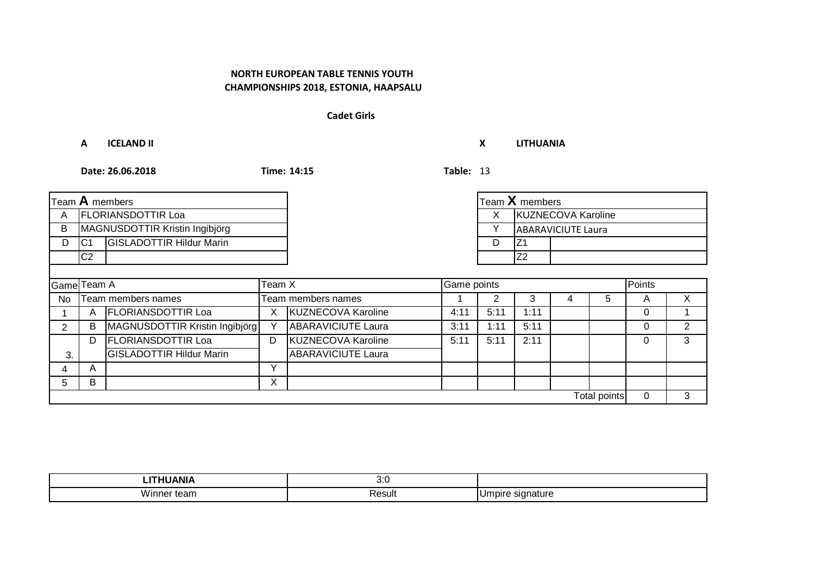#### **Cadet Girls**

**A ICELAND II X LITHUANIA**

|                |                           | Team <b>A</b> members           |              |                           |             |      | Team $X$ members   |                           |              |              |        |  |
|----------------|---------------------------|---------------------------------|--------------|---------------------------|-------------|------|--------------------|---------------------------|--------------|--------------|--------|--|
| A              | <b>FLORIANSDOTTIR Loa</b> |                                 |              |                           |             | X.   | KUZNECOVA Karoline |                           |              |              |        |  |
| В              |                           | MAGNUSDOTTIR Kristin Ingibjörg  |              |                           |             |      |                    | <b>ABARAVICIUTE Laura</b> |              |              |        |  |
| D              | C <sub>1</sub>            | <b>GISLADOTTIR Hildur Marin</b> |              |                           |             | D    | IZ1                |                           |              |              |        |  |
|                | C <sub>2</sub>            |                                 |              |                           |             |      | Z <sub>2</sub>     |                           |              |              |        |  |
|                |                           |                                 |              |                           |             |      |                    |                           |              |              |        |  |
|                | Team X<br>Game Team A     |                                 |              |                           | Game points |      |                    |                           |              |              | Points |  |
| No             |                           | Team members names              |              | Team members names        |             |      | 3                  |                           | 5            | A            | X      |  |
|                | A                         | <b>FLORIANSDOTTIR Loa</b>       | X            | <b>KUZNECOVA Karoline</b> | 4:11        | 5:11 | 1:11               |                           |              | $\Omega$     |        |  |
| $\overline{2}$ | B                         | MAGNUSDOTTIR Kristin Ingibjörg  | Y            | <b>ABARAVICIUTE Laura</b> | 3:11        | 1:11 | 5:11               |                           |              | $\Omega$     | 2      |  |
|                | D                         | <b>FLORIANSDOTTIR Loa</b>       | D            | <b>KUZNECOVA Karoline</b> | 5:11        | 5:11 | 2:11               |                           |              | $\Omega$     | 3      |  |
| 3.             |                           | <b>GISLADOTTIR Hildur Marin</b> |              | <b>ABARAVICIUTE Laura</b> |             |      |                    |                           |              |              |        |  |
|                | A                         |                                 | $\checkmark$ |                           |             |      |                    |                           |              |              |        |  |
| 5.             | В                         |                                 | X            |                           |             |      |                    |                           |              |              |        |  |
|                |                           |                                 |              |                           |             |      |                    |                           | Total points | $\mathbf{0}$ | 3      |  |

| .<br>JANI/                    | 1.1<br>o.u  |                          |
|-------------------------------|-------------|--------------------------|
| vinner<br>⊤ tean i<br>$    -$ | Result<br>. | าature<br>ıdır<br>Ur<br> |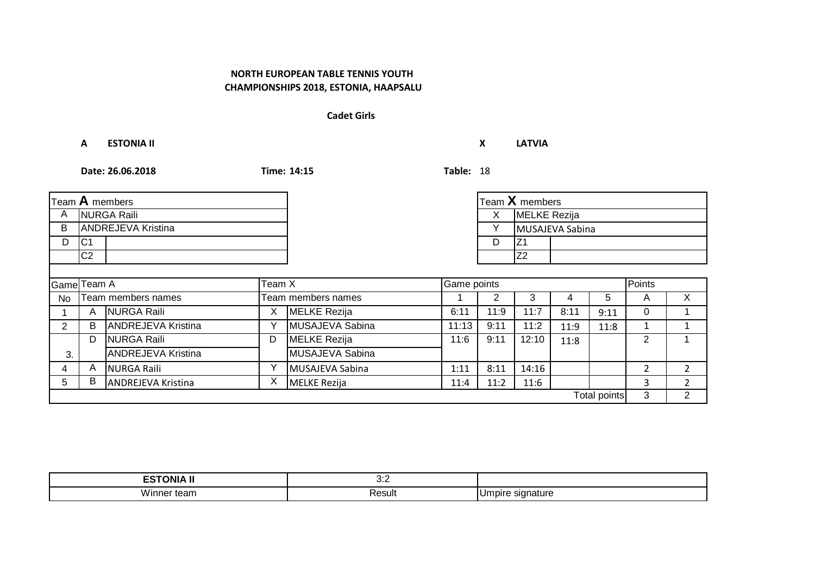#### **Cadet Girls**

**A ESTONIA II X LATVIA**

|                       |                | Team $A$ members          |   |                    |       |      | Team $X$ members |      |                     |                |                |
|-----------------------|----------------|---------------------------|---|--------------------|-------|------|------------------|------|---------------------|----------------|----------------|
| A                     |                | <b>NURGA Raili</b>        |   |                    |       | X.   | MELKE Rezija     |      |                     |                |                |
| B                     |                | <b>ANDREJEVA Kristina</b> |   |                    |       | Υ    | MUSAJEVA Sabina  |      |                     |                |                |
| D                     | C <sub>1</sub> |                           |   |                    |       | D    | Z <sub>1</sub>   |      |                     |                |                |
|                       | C <sub>2</sub> |                           |   |                    |       |      | Z <sub>2</sub>   |      |                     |                |                |
|                       |                |                           |   |                    |       |      |                  |      |                     |                |                |
| Game Team A<br>Team X |                |                           |   | Game points        |       |      |                  |      | Points              |                |                |
| <b>No</b>             |                | Team members names        |   | Team members names |       | 2    | 3                | 4    | 5                   | A              | $\times$       |
|                       | A              | <b>NURGA Raili</b>        | X | MELKE Rezija       | 6:11  | 11:9 | 11:7             | 8:11 | 9:11                | 0              |                |
| $\overline{2}$        | B              | <b>ANDREJEVA Kristina</b> |   | MUSAJEVA Sabina    | 11:13 | 9:11 | 11:2             | 11:9 | 11:8                |                |                |
|                       | D              | <b>NURGA Raili</b>        | D | MELKE Rezija       | 11:6  | 9:11 | 12:10            | 11:8 |                     | $\overline{2}$ | 1              |
| 3.                    |                | <b>ANDREJEVA Kristina</b> |   | MUSAJEVA Sabina    |       |      |                  |      |                     |                |                |
| 4                     | A              | <b>NURGA Raili</b>        | Y | MUSAJEVA Sabina    | 1:11  | 8:11 | 14:16            |      |                     | $\overline{2}$ | $\overline{2}$ |
| 5                     | В              | <b>ANDREJEVA Kristina</b> | X | MELKE Rezija       | 11:4  | 11:2 | 11:6             |      |                     | 3              | $\mathcal{P}$  |
|                       |                |                           |   |                    |       |      |                  |      | <b>Total points</b> | 3              | $\overline{2}$ |

| _ _ _ _ _<br>---<br>)NIA                                                          | ◡.∠                         |                               |
|-----------------------------------------------------------------------------------|-----------------------------|-------------------------------|
| .<br>WH<br>leal!<br>,,,,,,,,,<br>$\sim$ $\sim$ $\sim$ $\sim$ $\sim$ $\sim$ $\sim$ | Result<br>$\qquad \qquad -$ | ıbır<br>- UIT<br>iatur<br>. . |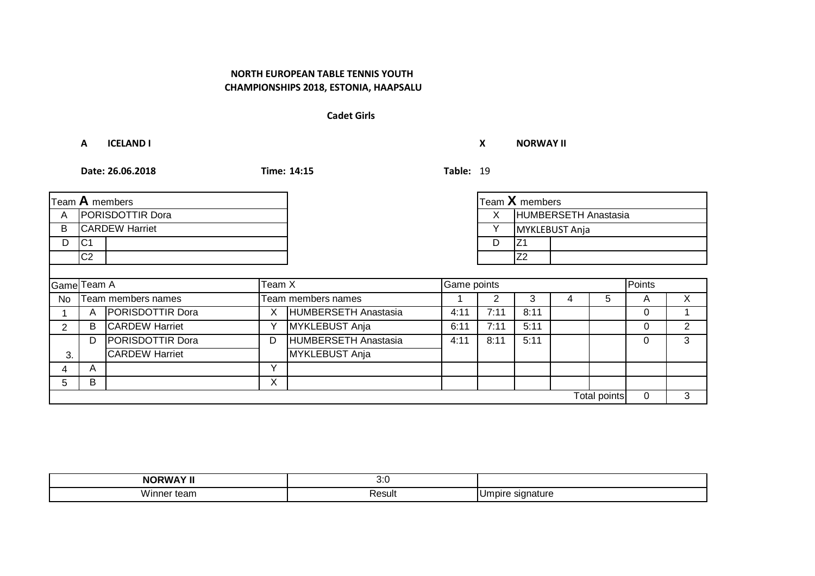#### **Cadet Girls**

**A ICELAND I X NORWAY II**

|                         |                         | Team A members          |              |                             |      |              | Team $X$ members     |  |              |        |   |
|-------------------------|-------------------------|-------------------------|--------------|-----------------------------|------|--------------|----------------------|--|--------------|--------|---|
| A                       | <b>PORISDOTTIR Dora</b> |                         |              |                             |      | X            | HUMBERSETH Anastasia |  |              |        |   |
| B                       |                         | <b>CARDEW Harriet</b>   |              |                             |      | $\checkmark$ | MYKLEBUST Anja       |  |              |        |   |
| D                       | IC1                     |                         |              |                             |      | D            | IZ <sub>1</sub>      |  |              |        |   |
|                         | C <sub>2</sub>          |                         |              |                             |      |              | Z <sub>2</sub>       |  |              |        |   |
|                         |                         |                         |              |                             |      |              |                      |  |              |        |   |
| Team $X$<br>Game Team A |                         |                         |              | Game points                 |      |              |                      |  |              | Points |   |
| No                      |                         | Team members names      |              | Team members names          |      | 2            | 3                    |  | 5            | A      | X |
|                         | A                       | <b>PORISDOTTIR Dora</b> | Χ            | <b>HUMBERSETH Anastasia</b> | 4:11 | 7:11         | 8:11                 |  |              | 0      |   |
| 2                       | B                       | <b>CARDEW Harriet</b>   | Υ            | MYKLEBUST Anja              | 6:11 | 7:11         | 5:11                 |  |              | 0      | 2 |
|                         | D                       | PORISDOTTIR Dora        | D            | HUMBERSETH Anastasia        | 4:11 | 8:11         | 5:11                 |  |              | 0      | 3 |
| 3.                      |                         | <b>CARDEW Harriet</b>   |              | MYKLEBUST Anja              |      |              |                      |  |              |        |   |
| 4                       | A                       |                         | $\checkmark$ |                             |      |              |                      |  |              |        |   |
| 5                       | B                       |                         | X            |                             |      |              |                      |  |              |        |   |
|                         |                         |                         |              |                             |      |              |                      |  | Total points | 0      | 3 |

| .<br>הוא            | ,,,<br>v.v |                         |
|---------------------|------------|-------------------------|
| WI.<br>י וכז<br>. . | Result     | .Ur<br>ndr<br>sıa<br>мш |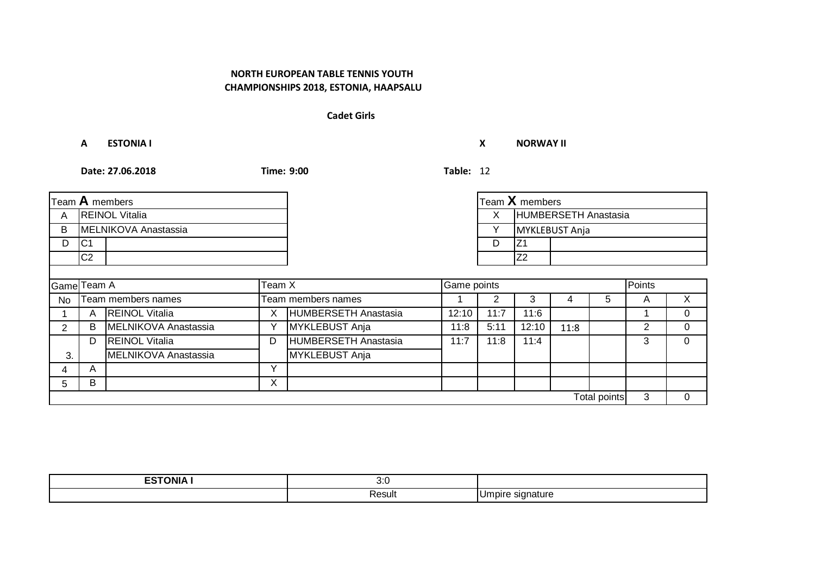# **CHAMPIONSHIPS 2018, ESTONIA, HAAPSALU NORTH EUROPEAN TABLE TENNIS YOUTH**

#### **Cadet Girls**

**A ESTONIA I X NORWAY II**

|                       |                       | Team $A$ members      |   |                      |       |      | Team X members       |      |                     |                |          |
|-----------------------|-----------------------|-----------------------|---|----------------------|-------|------|----------------------|------|---------------------|----------------|----------|
| A                     | <b>REINOL Vitalia</b> |                       |   |                      |       | X.   | HUMBERSETH Anastasia |      |                     |                |          |
| B                     |                       | MELNIKOVA Anastassia  |   |                      |       | v    | MYKLEBUST Anja       |      |                     |                |          |
| D                     | C <sub>1</sub>        |                       |   |                      |       | D    | IZ1                  |      |                     |                |          |
|                       | C <sub>2</sub>        |                       |   |                      |       |      | Z <sub>2</sub>       |      |                     |                |          |
|                       |                       |                       |   |                      |       |      |                      |      |                     |                |          |
| Team X<br>Game Team A |                       |                       |   | Game points          |       |      |                      |      | Points              |                |          |
| No                    |                       | Team members names    |   | Team members names   |       |      | 3                    |      | 5                   | A              | X        |
|                       | A                     | <b>REINOL Vitalia</b> | X | HUMBERSETH Anastasia | 12:10 | 11:7 | 11:6                 |      |                     |                | $\Omega$ |
| 2                     | B                     | MELNIKOVA Anastassia  | Υ | MYKLEBUST Anja       | 11:8  | 5:11 | 12:10                | 11:8 |                     | $\overline{2}$ | 0        |
|                       | D                     | <b>REINOL Vitalia</b> | D | HUMBERSETH Anastasia | 11:7  | 11:8 | 11:4                 |      |                     | 3              | $\Omega$ |
| 3.                    |                       | MELNIKOVA Anastassia  |   | MYKLEBUST Anja       |       |      |                      |      |                     |                |          |
| 4                     | A                     |                       | Υ |                      |       |      |                      |      |                     |                |          |
| 5.                    | B                     |                       | X |                      |       |      |                      |      |                     |                |          |
|                       |                       |                       |   |                      |       |      |                      |      | <b>Total points</b> | 3              | 0        |

| -------<br>. ONIA .<br>−ີ | 1.1<br>v.v |                             |
|---------------------------|------------|-----------------------------|
|                           | Result     | signature<br>ιJr<br>$\cdot$ |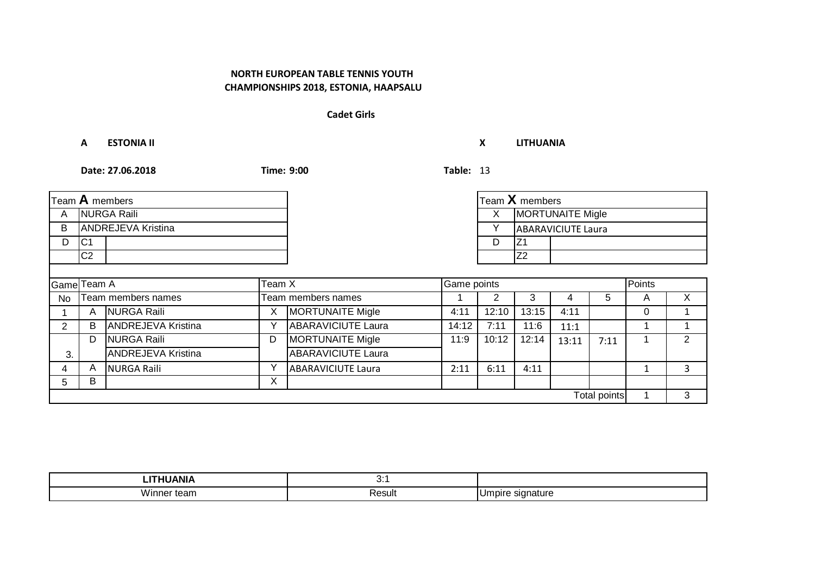### **Cadet Girls**

**A ESTONIA II X LITHUANIA**

|                       |                | Team A members            |   |                           |       |       | Team $X$ members |                           |              |   |         |
|-----------------------|----------------|---------------------------|---|---------------------------|-------|-------|------------------|---------------------------|--------------|---|---------|
| A                     |                | <b>NURGA Raili</b>        |   |                           |       | X     |                  | <b>MORTUNAITE Migle</b>   |              |   |         |
| B                     |                | <b>ANDREJEVA Kristina</b> |   |                           |       |       |                  | <b>ABARAVICIUTE Laura</b> |              |   |         |
| D                     | IC1            |                           |   |                           |       | D     | IZ1              |                           |              |   |         |
|                       | C <sub>2</sub> |                           |   |                           |       |       | Z <sub>2</sub>   |                           |              |   |         |
|                       |                |                           |   |                           |       |       |                  |                           |              |   |         |
| Game Team A<br>Team X |                |                           |   | Game points               |       |       |                  | Points                    |              |   |         |
| No                    |                | Team members names        |   | Team members names        |       |       | 3                | 4                         | 5            | A | $\sf X$ |
|                       | A              | <b>NURGA Raili</b>        | X | <b>MORTUNAITE Migle</b>   | 4:11  | 12:10 | 13:15            | 4:11                      |              | 0 |         |
| 2                     | B              | <b>ANDREJEVA Kristina</b> | Y | <b>ABARAVICIUTE Laura</b> | 14:12 | 7:11  | 11:6             | 11:1                      |              |   |         |
|                       | D              | <b>NURGA Raili</b>        | D | <b>MORTUNAITE Migle</b>   | 11:9  | 10:12 | 12:14            | 13:11                     | 7:11         |   | 2       |
| 3.                    |                | <b>ANDREJEVA Kristina</b> |   | <b>ABARAVICIUTE Laura</b> |       |       |                  |                           |              |   |         |
| 4                     | A              | <b>NURGA Raili</b>        | Y | <b>ABARAVICIUTE Laura</b> | 2:11  | 6:11  | 4:11             |                           |              |   | 3       |
| 5.                    | B              |                           | X |                           |       |       |                  |                           |              |   |         |
|                       |                |                           |   |                           |       |       |                  |                           | Total points |   | 3       |

| ---------<br>чıг          | .      |                          |
|---------------------------|--------|--------------------------|
| <br><b>Vinnei</b><br>τeam | Result | Jmpir<br>signature<br>יי |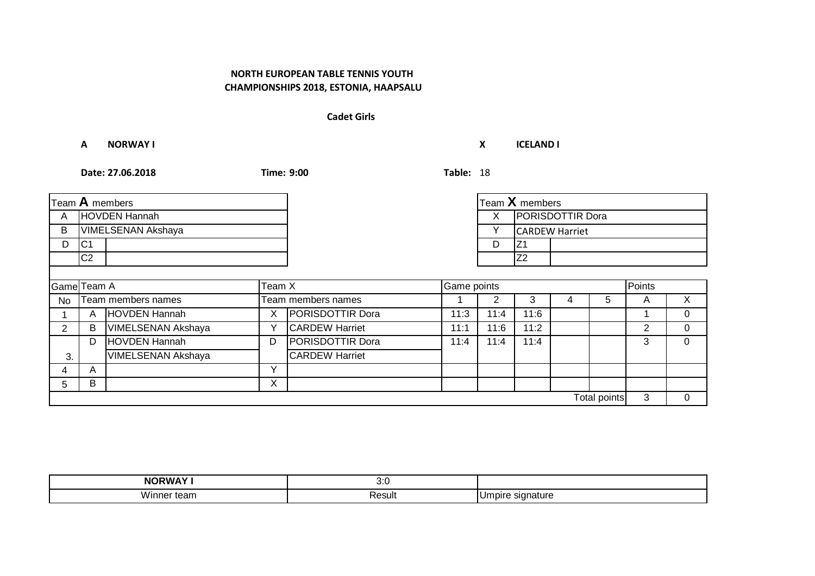#### **Cadet Girls**

#### **A NORWAY I X ICELAND I**

| Team A members        |                |                           |   |                       |      |      | Team X members        |   |              |   |          |
|-----------------------|----------------|---------------------------|---|-----------------------|------|------|-----------------------|---|--------------|---|----------|
| A                     | HOVDEN Hannah  |                           |   |                       |      | X    | PORISDOTTIR Dora      |   |              |   |          |
| B                     |                | <b>VIMELSENAN Akshaya</b> |   |                       |      |      | <b>CARDEW Harriet</b> |   |              |   |          |
| D                     | C <sub>1</sub> |                           |   |                       |      | D    | IZ1                   |   |              |   |          |
|                       | C <sub>2</sub> |                           |   |                       |      |      | Z <sub>2</sub>        |   |              |   |          |
|                       |                |                           |   |                       |      |      |                       |   |              |   |          |
| Game Team A<br>Team X |                |                           |   | Game points           |      |      | Points                |   |              |   |          |
| <b>No</b>             |                | Team members names        |   | Team members names    |      | 2    | 3                     | 4 | 5            | A | X        |
|                       | Α              | HOVDEN Hannah             | Χ | PORISDOTTIR Dora      | 11:3 | 11:4 | 11:6                  |   |              |   | $\Omega$ |
| $\overline{2}$        | В              | VIMELSENAN Akshaya        | Υ | <b>CARDEW Harriet</b> | 11:1 | 11:6 | 11:2                  |   |              | 2 | $\Omega$ |
|                       | D              | HOVDEN Hannah             | D | PORISDOTTIR Dora      | 11:4 | 11:4 | 11:4                  |   |              | 3 | 0        |
| 3.                    |                | VIMELSENAN Akshaya        |   | <b>CARDEW Harriet</b> |      |      |                       |   |              |   |          |
| 4                     | A              |                           | Υ |                       |      |      |                       |   |              |   |          |
| 5.                    | B              |                           | X |                       |      |      |                       |   |              |   |          |
|                       |                |                           |   |                       |      |      |                       |   | Total points | 3 | $\Omega$ |

| .<br>Νſ<br>                 | ,,,<br>v.v |                       |
|-----------------------------|------------|-----------------------|
| <b>Wir</b><br>ledi i<br>. . | ≺esult     | , Umbir<br>sıa<br>ышы |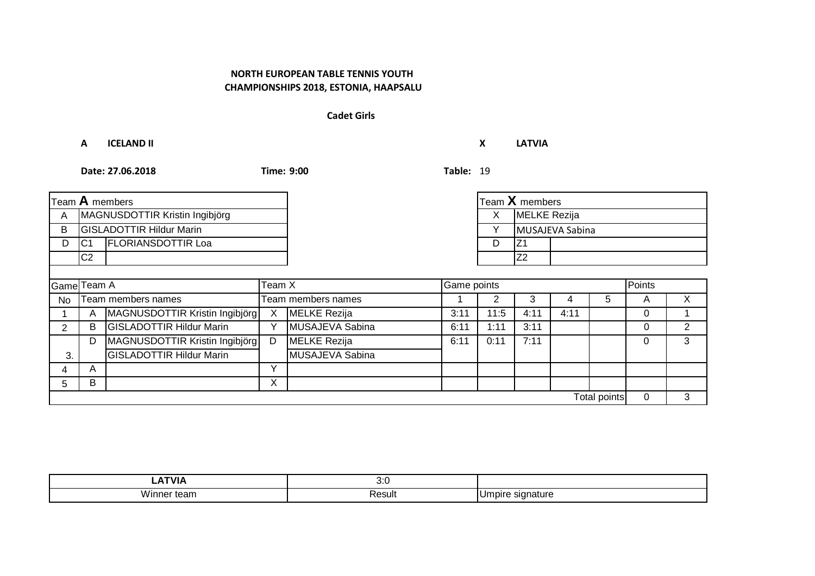#### **Cadet Girls**

**A ICELAND II X LATVIA**

|                       |                                | Team <b>A</b> members           |              |                     |      | Team $X$ members |                     |      |                     |          |                |
|-----------------------|--------------------------------|---------------------------------|--------------|---------------------|------|------------------|---------------------|------|---------------------|----------|----------------|
| A                     | MAGNUSDOTTIR Kristin Ingibjörg |                                 |              |                     |      | X.               | <b>MELKE</b> Rezija |      |                     |          |                |
| B                     |                                | <b>GISLADOTTIR Hildur Marin</b> |              |                     |      |                  | MUSAJEVA Sabina     |      |                     |          |                |
| D                     | C <sub>1</sub>                 | <b>FLORIANSDOTTIR Loa</b>       |              |                     |      | D                | IZ1                 |      |                     |          |                |
|                       | C <sub>2</sub>                 |                                 |              |                     |      |                  | Z2                  |      |                     |          |                |
|                       |                                |                                 |              |                     |      |                  |                     |      |                     |          |                |
| Game Team A<br>Team X |                                |                                 |              | Game points         |      |                  |                     |      |                     | Points   |                |
| N <sub>o</sub>        |                                | Team members names              |              | Team members names  |      |                  | 3                   | 4    | 5                   | A        | X              |
|                       | A                              | MAGNUSDOTTIR Kristin Ingibjörg  | $\mathsf{X}$ | <b>MELKE</b> Rezija | 3:11 | 11:5             | 4:11                | 4:11 |                     | 0        |                |
| $\overline{2}$        | B                              | <b>GISLADOTTIR Hildur Marin</b> | ٧            | MUSAJEVA Sabina     | 6:11 | 1:11             | 3:11                |      |                     | 0        | $\overline{2}$ |
|                       | D                              | MAGNUSDOTTIR Kristin Ingibjörg  | D            | MELKE Rezija        | 6:11 | 0:11             | 7:11                |      |                     | 0        | 3              |
| 3.                    |                                | <b>GISLADOTTIR Hildur Marin</b> |              | MUSAJEVA Sabina     |      |                  |                     |      |                     |          |                |
| 4                     | A                              |                                 | v            |                     |      |                  |                     |      |                     |          |                |
| 5                     | B                              |                                 | X            |                     |      |                  |                     |      |                     |          |                |
|                       |                                |                                 |              |                     |      |                  |                     |      | <b>Total points</b> | $\Omega$ | 3              |

|             | ,,,<br>$\mathsf{v}.\mathsf{v}$ |                    |
|-------------|--------------------------------|--------------------|
| WJ 1<br>ear | Result                         | nature<br>ш<br>. . |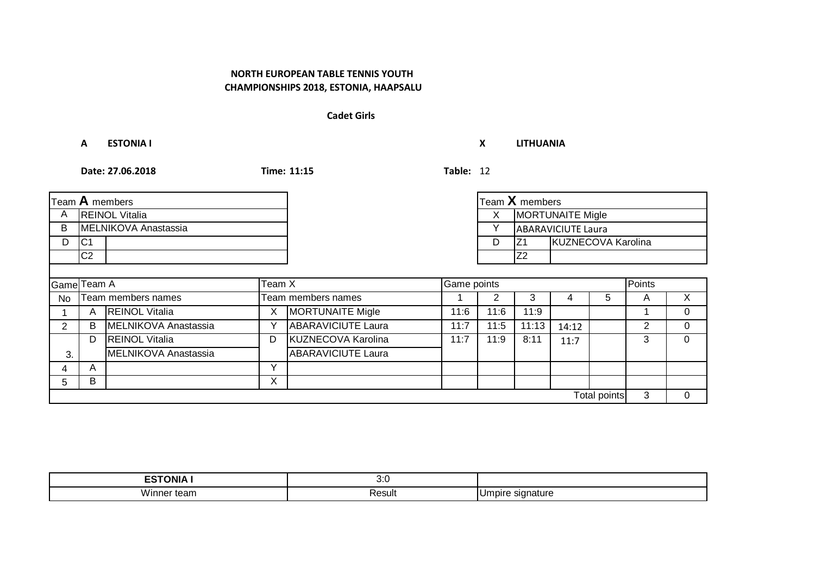#### **Cadet Girls**

**A ESTONIA I X LITHUANIA**

|                       |                       | Team A members        |              |                           |               |                               | Team X members |                           |              |   |          |
|-----------------------|-----------------------|-----------------------|--------------|---------------------------|---------------|-------------------------------|----------------|---------------------------|--------------|---|----------|
| $\mathsf{A}$          | <b>REINOL Vitalia</b> |                       |              |                           |               | <b>MORTUNAITE Migle</b><br>X. |                |                           |              |   |          |
| B                     |                       | MELNIKOVA Anastassia  |              |                           |               | $\checkmark$                  |                | <b>ABARAVICIUTE Laura</b> |              |   |          |
| D                     | C <sub>1</sub>        |                       |              |                           |               | D                             | IZ1            | KUZNECOVA Karolina        |              |   |          |
|                       | C <sub>2</sub>        |                       |              |                           |               |                               | Z <sub>2</sub> |                           |              |   |          |
|                       |                       |                       |              |                           |               |                               |                |                           |              |   |          |
| Game Team A<br>Team X |                       |                       | Game points  |                           | <b>Points</b> |                               |                |                           |              |   |          |
| No                    |                       | Team members names    |              | Team members names        |               |                               | 3              | 4                         | 5            | A | X        |
|                       | A                     | <b>REINOL Vitalia</b> | Χ            | <b>MORTUNAITE Migle</b>   | 11:6          | 11:6                          | 11:9           |                           |              |   | $\Omega$ |
| 2                     | B                     | MELNIKOVA Anastassia  | Υ            | <b>ABARAVICIUTE Laura</b> | 11:7          | 11:5                          | 11:13          | 14:12                     |              | 2 | $\Omega$ |
|                       | D                     | <b>REINOL Vitalia</b> | D            | KUZNECOVA Karolina        | 11:7          | 11:9                          | 8:11           | 11:7                      |              | 3 | $\Omega$ |
| 3.                    |                       | MELNIKOVA Anastassia  |              | <b>ABARAVICIUTE Laura</b> |               |                               |                |                           |              |   |          |
| 4                     | A                     |                       | $\checkmark$ |                           |               |                               |                |                           |              |   |          |
| 5                     | B                     |                       | X            |                           |               |                               |                |                           |              |   |          |
|                       |                       |                       |              |                           |               |                               |                |                           | Total points | 3 | $\Omega$ |

| -------<br>. ONIA<br>-- | 3.7<br>v.v |                                |
|-------------------------|------------|--------------------------------|
| Winne.<br>er tean.      | Result     | signature<br>Umpire<br>$\cdot$ |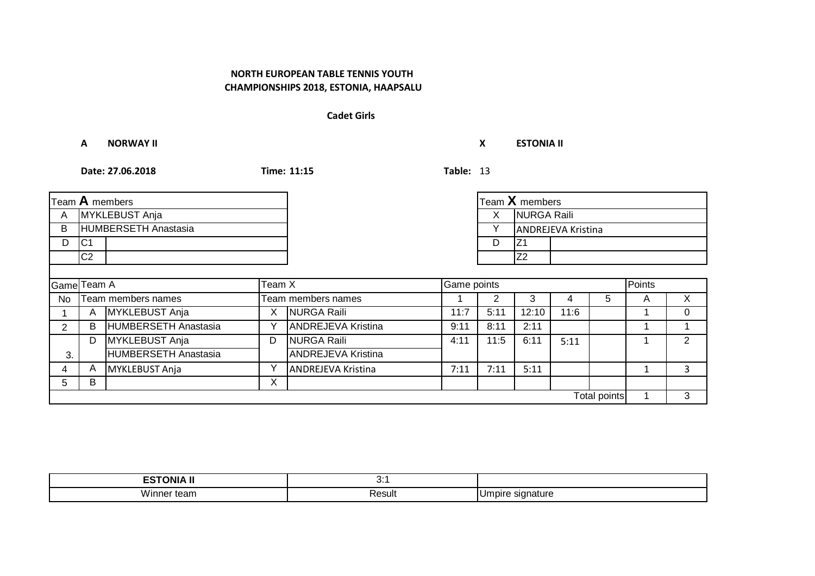#### **Cadet Girls**

**A NORWAY II X ESTONIA II**

|                       |                | Team $\bf A$ members        |   |                           |      |                   | Team X members |                           |                     |        |               |
|-----------------------|----------------|-----------------------------|---|---------------------------|------|-------------------|----------------|---------------------------|---------------------|--------|---------------|
| A                     | MYKLEBUST Anja |                             |   |                           |      | NURGA Raili<br>X. |                |                           |                     |        |               |
| B                     |                | HUMBERSETH Anastasia        |   |                           |      |                   |                | <b>ANDREJEVA Kristina</b> |                     |        |               |
| D                     | C <sub>1</sub> |                             |   |                           |      | D                 | IZ1            |                           |                     |        |               |
|                       | C2             |                             |   |                           |      |                   | Z <sub>2</sub> |                           |                     |        |               |
|                       |                |                             |   |                           |      |                   |                |                           |                     |        |               |
| Team X<br>Game Team A |                |                             |   | Game points               |      |                   |                |                           |                     | Points |               |
| No                    |                | Team members names          |   | Team members names        |      |                   | 3              | 4                         | 5                   | A      | X             |
|                       | Α              | MYKLEBUST Anja              | Х | NURGA Raili               | 11:7 | 5:11              | 12:10          | 11:6                      |                     |        | $\Omega$      |
| 2                     | B              | HUMBERSETH Anastasia        | Y | <b>ANDREJEVA Kristina</b> | 9:11 | 8:11              | 2:11           |                           |                     |        |               |
|                       | D              | MYKLEBUST Anja              | D | NURGA Raili               | 4:11 | 11:5              | 6:11           | 5:11                      |                     |        | $\mathcal{P}$ |
| 3.                    |                | <b>HUMBERSETH Anastasia</b> |   | <b>ANDREJEVA Kristina</b> |      |                   |                |                           |                     |        |               |
| 4                     | A              | <b>MYKLEBUST Anja</b>       | Y | <b>ANDREJEVA Kristina</b> | 7:11 | 7:11              | 5:11           |                           |                     |        | 3             |
| 5.                    | B              |                             | X |                           |      |                   |                |                           |                     |        |               |
|                       |                |                             |   |                           |      |                   |                |                           | <b>Total points</b> |        | 3             |

| .<br>---                             | .<br>$\mathsf{v}$ . |                                  |
|--------------------------------------|---------------------|----------------------------------|
| $\ddot{\phantom{0}}$<br>Winne<br>ann | Result              | <b>SIO</b><br>.ur<br>וטו<br>10 I |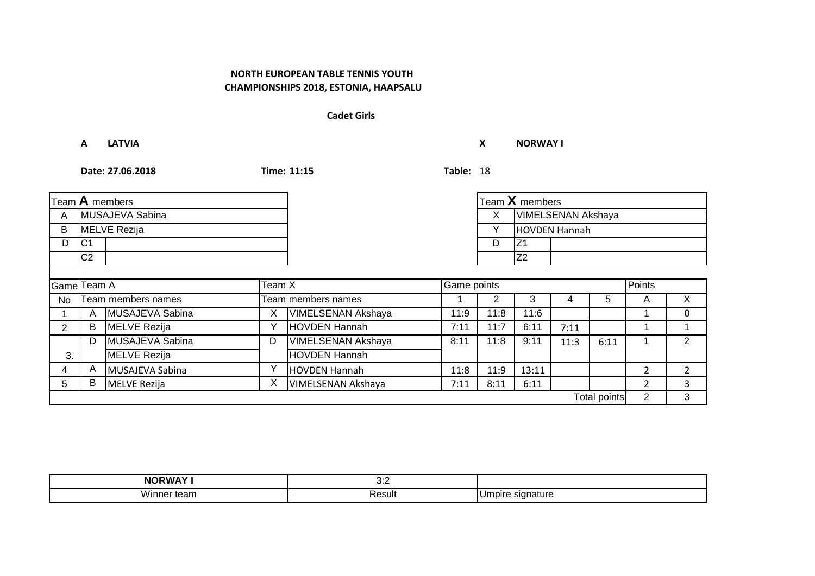#### **Cadet Girls**

**A LATVIA X NORWAY I**

| Team $A$ members         |                    |                     |                    |                           |                     | Team X members     |                |      |      |   |                |
|--------------------------|--------------------|---------------------|--------------------|---------------------------|---------------------|--------------------|----------------|------|------|---|----------------|
| MUSAJEVA Sabina<br>A     |                    |                     |                    |                           | X.                  | VIMELSENAN Akshaya |                |      |      |   |                |
| <b>MELVE Rezija</b><br>B |                    |                     |                    |                           | Y                   | HOVDEN Hannah      |                |      |      |   |                |
| D                        | C <sub>1</sub>     |                     |                    |                           | Z <sub>1</sub><br>D |                    |                |      |      |   |                |
|                          | C <sub>2</sub>     |                     |                    |                           |                     |                    | Z <sub>2</sub> |      |      |   |                |
|                          |                    |                     |                    |                           |                     |                    |                |      |      |   |                |
| Game Team A<br>Team X    |                    |                     | Game points        |                           |                     |                    | Points         |      |      |   |                |
| N <sub>o</sub>           | Team members names |                     | Team members names |                           |                     | 3                  | 4              | 5    | A    | X |                |
|                          | A                  | MUSAJEVA Sabina     | X                  | <b>VIMELSENAN Akshaya</b> | 11:9                | 11:8               | 11:6           |      |      |   | 0              |
| $\overline{2}$           | B                  | <b>MELVE Rezija</b> | $\checkmark$       | <b>HOVDEN Hannah</b>      | 7:11                | 11:7               | 6:11           | 7:11 |      |   |                |
|                          | D                  | MUSAJEVA Sabina     | D                  | <b>VIMELSENAN Akshaya</b> | 8:11                | 11:8               | 9:11           | 11:3 | 6:11 |   | 2              |
| 3.                       |                    | <b>MELVE Rezija</b> |                    | <b>HOVDEN Hannah</b>      |                     |                    |                |      |      |   |                |
| 4                        | A                  | MUSAJEVA Sabina     | $\checkmark$       | <b>HOVDEN Hannah</b>      | 11:8                | 11:9               | 13:11          |      |      | 2 | $\overline{2}$ |
| 5.                       | B                  | <b>MELVE Rezija</b> | X                  | VIMELSENAN Akshaya        | 7:11                | 8:11               | 6:11           |      |      | 2 | ς              |
| <b>Total points</b>      |                    |                     |                    |                           |                     | $\overline{2}$     | 3              |      |      |   |                |

| ת ומו כ<br>NF                       | ,,,<br>$\mathsf{v}.\mathsf{v}$ |                           |
|-------------------------------------|--------------------------------|---------------------------|
| $\ddot{\phantom{0}}$<br>Winne<br>am | ⊀esult                         | sian<br>.ur<br>าลแ<br>וטו |